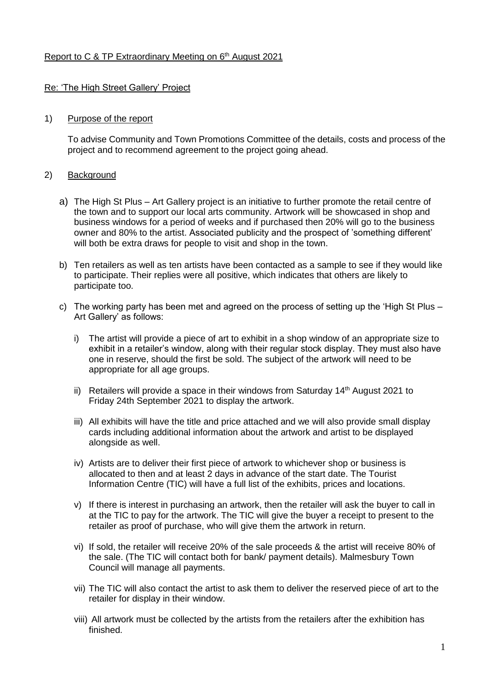# Report to C & TP Extraordinary Meeting on 6<sup>th</sup> August 2021

#### Re: 'The High Street Gallery' Project

#### 1) Purpose of the report

To advise Community and Town Promotions Committee of the details, costs and process of the project and to recommend agreement to the project going ahead.

### 2) Background

- a) The High St Plus Art Gallery project is an initiative to further promote the retail centre of the town and to support our local arts community. Artwork will be showcased in shop and business windows for a period of weeks and if purchased then 20% will go to the business owner and 80% to the artist. Associated publicity and the prospect of 'something different' will both be extra draws for people to visit and shop in the town.
- b) Ten retailers as well as ten artists have been contacted as a sample to see if they would like to participate. Their replies were all positive, which indicates that others are likely to participate too.
- c) The working party has been met and agreed on the process of setting up the 'High St Plus Art Gallery' as follows:
	- i) The artist will provide a piece of art to exhibit in a shop window of an appropriate size to exhibit in a retailer's window, along with their regular stock display. They must also have one in reserve, should the first be sold. The subject of the artwork will need to be appropriate for all age groups.
	- ii) Retailers will provide a space in their windows from Saturday  $14<sup>th</sup>$  August 2021 to Friday 24th September 2021 to display the artwork.
	- iii) All exhibits will have the title and price attached and we will also provide small display cards including additional information about the artwork and artist to be displayed alongside as well.
	- iv) Artists are to deliver their first piece of artwork to whichever shop or business is allocated to then and at least 2 days in advance of the start date. The Tourist Information Centre (TIC) will have a full list of the exhibits, prices and locations.
	- v) If there is interest in purchasing an artwork, then the retailer will ask the buyer to call in at the TIC to pay for the artwork. The TIC will give the buyer a receipt to present to the retailer as proof of purchase, who will give them the artwork in return.
	- vi) If sold, the retailer will receive 20% of the sale proceeds & the artist will receive 80% of the sale. (The TIC will contact both for bank/ payment details). Malmesbury Town Council will manage all payments.
	- vii) The TIC will also contact the artist to ask them to deliver the reserved piece of art to the retailer for display in their window.
	- viii) All artwork must be collected by the artists from the retailers after the exhibition has finished.